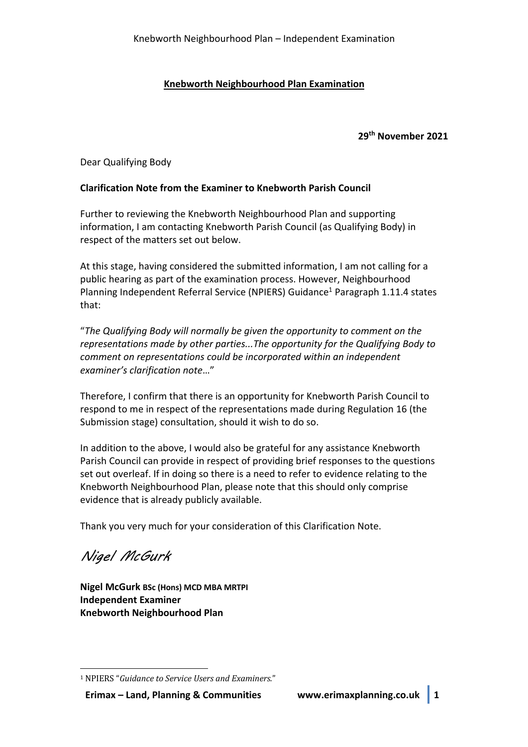## **Knebworth Neighbourhood Plan Examination**

**29th November 2021**

Dear Qualifying Body

## **Clarification Note from the Examiner to Knebworth Parish Council**

Further to reviewing the Knebworth Neighbourhood Plan and supporting information, I am contacting Knebworth Parish Council (as Qualifying Body) in respect of the matters set out below.

At this stage, having considered the submitted information, I am not calling for a public hearing as part of the examination process. However, Neighbourhood Planning Independent Referral Service (NPIERS) Guidance<sup>1</sup> Paragraph 1.11.4 states that:

"*The Qualifying Body will normally be given the opportunity to comment on the representations made by other parties...The opportunity for the Qualifying Body to comment on representations could be incorporated within an independent examiner's clarification note*…"

Therefore, I confirm that there is an opportunity for Knebworth Parish Council to respond to me in respect of the representations made during Regulation 16 (the Submission stage) consultation, should it wish to do so.

In addition to the above, I would also be grateful for any assistance Knebworth Parish Council can provide in respect of providing brief responses to the questions set out overleaf. If in doing so there is a need to refer to evidence relating to the Knebworth Neighbourhood Plan, please note that this should only comprise evidence that is already publicly available.

Thank you very much for your consideration of this Clarification Note.

Nigel McGurk

**Nigel McGurk BSc (Hons) MCD MBA MRTPI Independent Examiner Knebworth Neighbourhood Plan**

<sup>&</sup>lt;sup>1</sup> NPIERS "Guidance to Service Users and Examiners."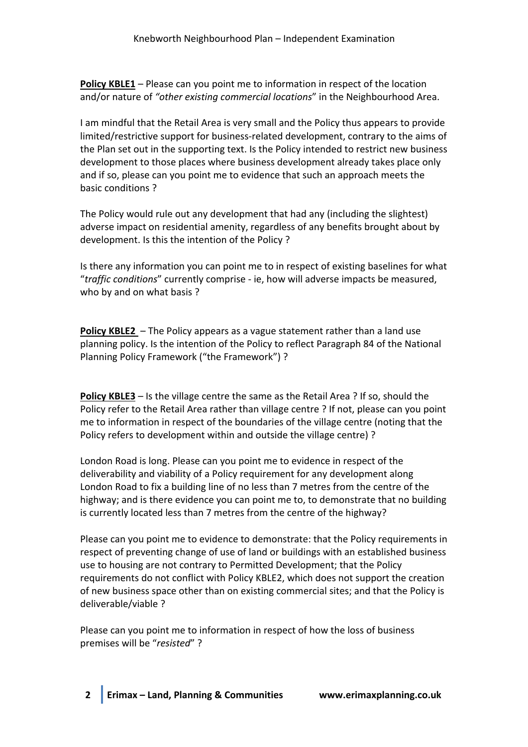**Policy KBLE1** – Please can you point me to information in respect of the location and/or nature of *"other existing commercial locations*" in the Neighbourhood Area.

I am mindful that the Retail Area is very small and the Policy thus appears to provide limited/restrictive support for business-related development, contrary to the aims of the Plan set out in the supporting text. Is the Policy intended to restrict new business development to those places where business development already takes place only and if so, please can you point me to evidence that such an approach meets the basic conditions ?

The Policy would rule out any development that had any (including the slightest) adverse impact on residential amenity, regardless of any benefits brought about by development. Is this the intention of the Policy ?

Is there any information you can point me to in respect of existing baselines for what "*traffic conditions*" currently comprise - ie, how will adverse impacts be measured, who by and on what basis ?

**Policy KBLE2** – The Policy appears as a vague statement rather than a land use planning policy. Is the intention of the Policy to reflect Paragraph 84 of the National Planning Policy Framework ("the Framework") ?

**Policy KBLE3** – Is the village centre the same as the Retail Area ? If so, should the Policy refer to the Retail Area rather than village centre ? If not, please can you point me to information in respect of the boundaries of the village centre (noting that the Policy refers to development within and outside the village centre) ?

London Road is long. Please can you point me to evidence in respect of the deliverability and viability of a Policy requirement for any development along London Road to fix a building line of no less than 7 metres from the centre of the highway; and is there evidence you can point me to, to demonstrate that no building is currently located less than 7 metres from the centre of the highway?

Please can you point me to evidence to demonstrate: that the Policy requirements in respect of preventing change of use of land or buildings with an established business use to housing are not contrary to Permitted Development; that the Policy requirements do not conflict with Policy KBLE2, which does not support the creation of new business space other than on existing commercial sites; and that the Policy is deliverable/viable ?

Please can you point me to information in respect of how the loss of business premises will be "*resisted*" ?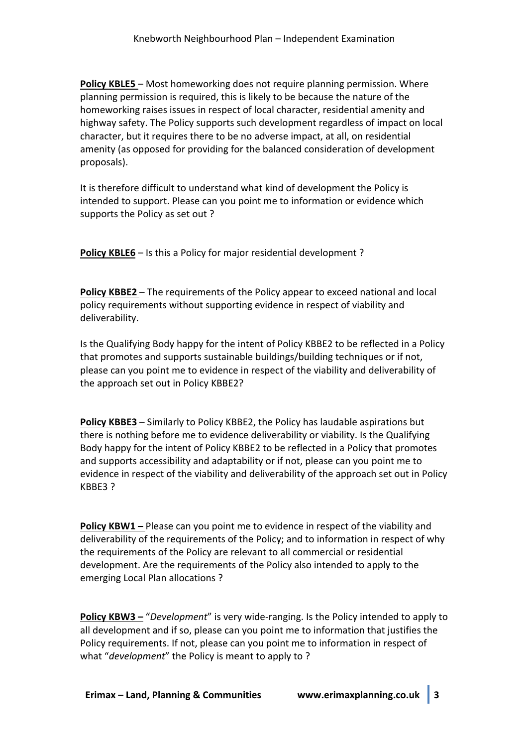**Policy KBLE5** – Most homeworking does not require planning permission. Where planning permission is required, this is likely to be because the nature of the homeworking raises issues in respect of local character, residential amenity and highway safety. The Policy supports such development regardless of impact on local character, but it requires there to be no adverse impact, at all, on residential amenity (as opposed for providing for the balanced consideration of development proposals).

It is therefore difficult to understand what kind of development the Policy is intended to support. Please can you point me to information or evidence which supports the Policy as set out ?

**Policy KBLE6** – Is this a Policy for major residential development ?

**Policy KBBE2** – The requirements of the Policy appear to exceed national and local policy requirements without supporting evidence in respect of viability and deliverability.

Is the Qualifying Body happy for the intent of Policy KBBE2 to be reflected in a Policy that promotes and supports sustainable buildings/building techniques or if not, please can you point me to evidence in respect of the viability and deliverability of the approach set out in Policy KBBE2?

**Policy KBBE3** – Similarly to Policy KBBE2, the Policy has laudable aspirations but there is nothing before me to evidence deliverability or viability. Is the Qualifying Body happy for the intent of Policy KBBE2 to be reflected in a Policy that promotes and supports accessibility and adaptability or if not, please can you point me to evidence in respect of the viability and deliverability of the approach set out in Policy KBBE3 ?

**Policy KBW1 –** Please can you point me to evidence in respect of the viability and deliverability of the requirements of the Policy; and to information in respect of why the requirements of the Policy are relevant to all commercial or residential development. Are the requirements of the Policy also intended to apply to the emerging Local Plan allocations ?

**Policy KBW3 –** "*Development*" is very wide-ranging. Is the Policy intended to apply to all development and if so, please can you point me to information that justifies the Policy requirements. If not, please can you point me to information in respect of what "*development*" the Policy is meant to apply to ?